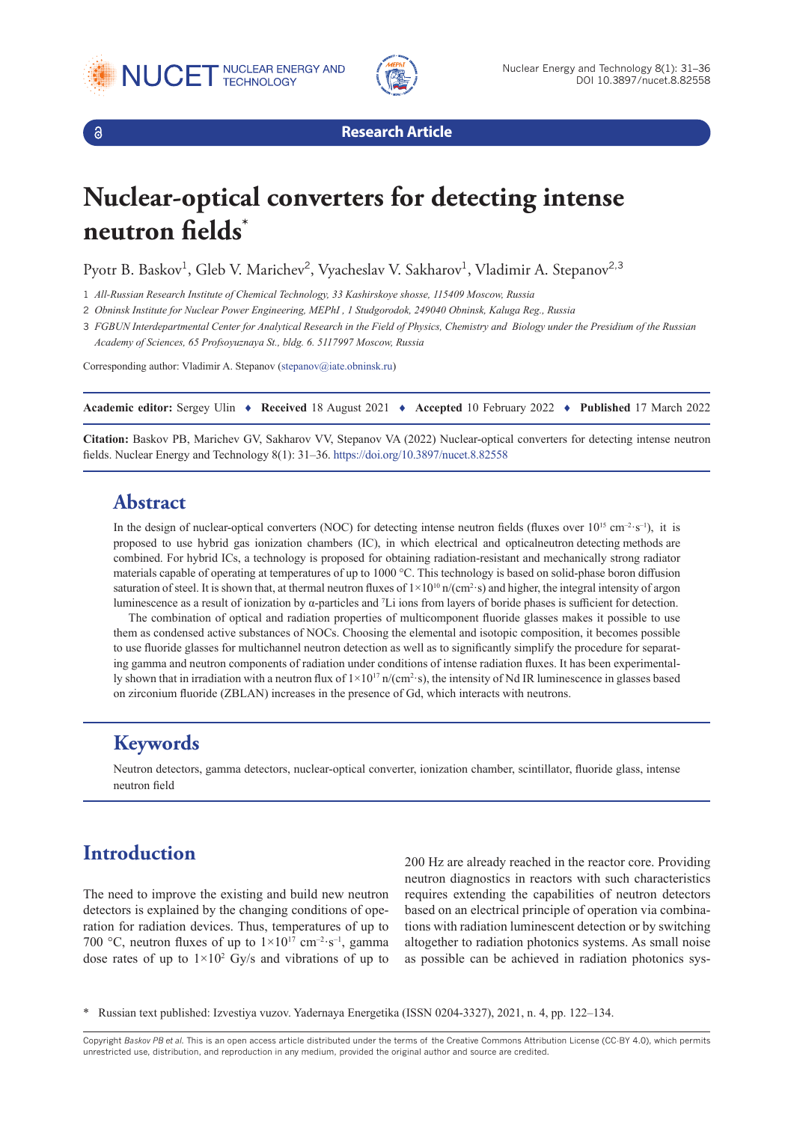





**Research Article**

# **Nuclear-optical converters for detecting intense neutron fields\***

Pyotr B. Baskov<sup>1</sup>, Gleb V. Marichev<sup>2</sup>, Vyacheslav V. Sakharov<sup>1</sup>, Vladimir A. Stepanov<sup>2,3</sup>

1 *All-Russian Research Institute of Chemical Technology, 33 Kashirskoye shosse, 115409 Moscow, Russia*

2 *Obninsk Institute for Nuclear Power Engineering, MEPhI , 1 Studgorodok, 249040 Obninsk, Kaluga Reg., Russia*

3 *FGBUN Interdepartmental Center for Analytical Research in the Field of Physics, Chemistry and Biology under the Presidium of the Russian Academy of Sciences, 65 Profsoyuznaya St., bldg. 6. 5117997 Moscow, Russia*

Corresponding author: Vladimir A. Stepanov [\(stepanov@iate.obninsk.ru](mailto:stepanov@iate.obninsk.ru))

**Academic editor:** Sergey Ulin ♦ **Received** 18 August 2021 ♦ **Accepted** 10 February 2022 ♦ **Published** 17 March 2022

**Citation:** Baskov PB, Marichev GV, Sakharov VV, Stepanov VA (2022) Nuclear-optical converters for detecting intense neutron fields. Nuclear Energy and Technology 8(1): 31–36.<https://doi.org/10.3897/nucet.8.82558>

## **Abstract**

In the design of nuclear-optical converters (NOC) for detecting intense neutron fields (fluxes over  $10^{15}$  cm<sup>-2</sup>·s<sup>-1</sup>), it is proposed to use hybrid gas ionization chambers (IC), in which electrical and optical neutron detecting methods are combined. For hybrid ICs, a technology is proposed for obtaining radiation-resistant and mechanically strong radiator materials capable of operating at temperatures of up to 1000 °C. This technology is based on solid-phase boron diffusion saturation of steel. It is shown that, at thermal neutron fluxes of  $1\times10^{10}$  n/(cm<sup>2</sup>·s) and higher, the integral intensity of argon luminescence as a result of ionization by  $\alpha$ -particles and <sup>7</sup>Li ions from layers of boride phases is sufficient for detection.

The combination of optical and radiation properties of multicomponent fluoride glasses makes it possible to use them as condensed active substances of NOCs. Choosing the elemental and isotopic composition, it becomes possible to use fluoride glasses for multichannel neutron detection as well as to significantly simplify the procedure for separating gamma and neutron components of radiation under conditions of intense radiation fluxes. It has been experimentally shown that in irradiation with a neutron flux of  $1\times10^{17}$  n/(cm<sup>2</sup> $\cdot$ s), the intensity of Nd IR luminescence in glasses based on zirconium fluoride (ZBLAN) increases in the presence of Gd, which interacts with neutrons.

# **Keywords**

Neutron detectors, gamma detectors, nuclear-optical converter, ionization chamber, scintillator, fluoride glass, intense neutron field

# **Introduction**

The need to improve the existing and build new neutron detectors is explained by the changing conditions of operation for radiation devices. Thus, temperatures of up to 700 °C, neutron fluxes of up to  $1\times10^{17}$  cm<sup>-2</sup>·s<sup>-1</sup>, gamma dose rates of up to  $1 \times 10^2$  Gy/s and vibrations of up to 200 Hz are already reached in the reactor core. Providing neutron diagnostics in reactors with such characteristics requires extending the capabilities of neutron detectors based on an electrical principle of operation via combinations with radiation luminescent detection or by switching altogether to radiation photonics systems. As small noise as possible can be achieved in radiation photonics sys-

\* Russian text published: Izvestiya vuzov. Yadernaya Energetika (ISSN 0204-3327), 2021, n. 4, pp. 122–134.

Copyright *Baskov PB et al.* This is an open access article distributed under the terms of the Creative Commons Attribution License (CC-BY 4.0), which permits unrestricted use, distribution, and reproduction in any medium, provided the original author and source are credited.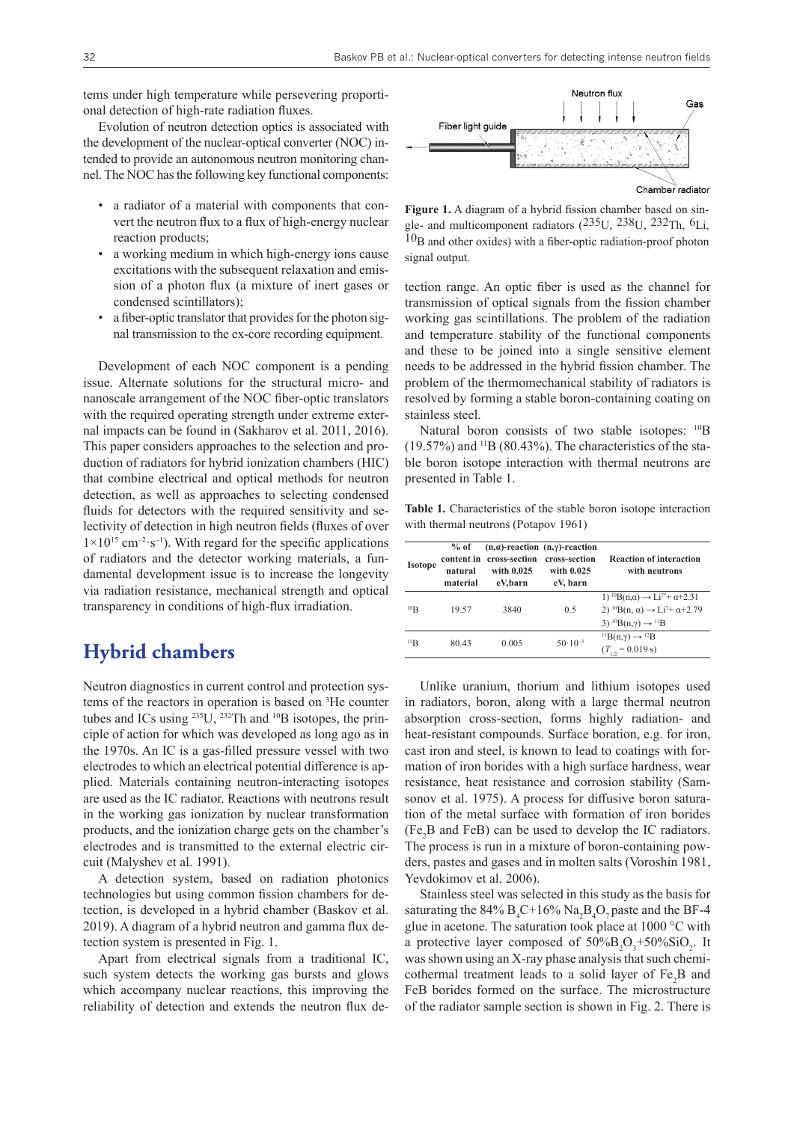tems under high temperature while persevering proportional detection of high-rate radiation fluxes.

Evolution of neutron detection optics is associated with the development of the nuclear-optical converter (NOC) intended to provide an autonomous neutron monitoring channel. The NOC has the following key functional components:

- a radiator of a material with components that convert the neutron flux to a flux of high-energy nuclear reaction products;
- a working medium in which high-energy ions cause excitations with the subsequent relaxation and emission of a photon flux (a mixture of inert gases or condensed scintillators);
- a fiber-optic translator that provides for the photon signal transmission to the ex-core recording equipment.

Development of each NOC component is a pending issue. Alternate solutions for the structural micro- and nanoscale arrangement of the NOC fiber-optic translators with the required operating strength under extreme external impacts can be found in (Sakharov et al. 2011, 2016). This paper considers approaches to the selection and production of radiators for hybrid ionization chambers (HIC) that combine electrical and optical methods for neutron detection, as well as approaches to selecting condensed fluids for detectors with the required sensitivity and selectivity of detection in high neutron fields (fluxes of over  $1\times10^{15}$  cm<sup>-2</sup>·s<sup>-1</sup>). With regard for the specific applications of radiators and the detector working materials, a fundamental development issue is to increase the longevity via radiation resistance, mechanical strength and optical transparency in conditions of high-flux irradiation.

# **Hybrid chambers**

Neutron diagnostics in current control and protection systems of the reactors in operation is based on <sup>3</sup> He counter tubes and ICs using <sup>235</sup>U, <sup>232</sup>Th and <sup>10</sup>B isotopes, the principle of action for which was developed as long ago as in the 1970s. An IC is a gas-filled pressure vessel with two electrodes to which an electrical potential difference is applied. Materials containing neutron-interacting isotopes are used as the IC radiator. Reactions with neutrons result in the working gas ionization by nuclear transformation products, and the ionization charge gets on the chamber's electrodes and is transmitted to the external electric circuit (Malyshev et al. 1991).

A detection system, based on radiation photonics technologies but using common fission chambers for detection, is developed in a hybrid chamber (Baskov et al. 2019). A diagram of a hybrid neutron and gamma flux detection system is presented in Fig. 1.

Apart from electrical signals from a traditional IC, such system detects the working gas bursts and glows which accompany nuclear reactions, this improving the reliability of detection and extends the neutron flux de-



**Figure 1.** A diagram of a hybrid fission chamber based on single- and multicomponent radiators (235U, 238U, 232Th, 6Li, 10B and other oxides) with a fiber-optic radiation-proof photon signal output.

tection range. An optic fiber is used as the channel for transmission of optical signals from the fission chamber working gas scintillations. The problem of the radiation and temperature stability of the functional components and these to be joined into a single sensitive element needs to be addressed in the hybrid fission chamber. The problem of the thermomechanical stability of radiators is resolved by forming a stable boron-containing coating on stainless steel.

Natural boron consists of two stable isotopes: <sup>10</sup>B  $(19.57%)$  and  $^{11}B(80.43%)$ . The characteristics of the stable boron isotope interaction with thermal neutrons are presented in Table 1.

**Table 1.** Characteristics of the stable boron isotope interaction with thermal neutrons (Potapov 1961)

| <b>Isotope</b>       | $%$ of<br>content in<br>natural<br>material | cross-section<br>with 0.025<br>eV.barn | $(n,\alpha)$ -reaction $(n,\gamma)$ -reaction<br>cross-section<br>with 0.025<br>eV, barn | <b>Reaction of interaction</b><br>with neutrons                                                                                                                                                                     |
|----------------------|---------------------------------------------|----------------------------------------|------------------------------------------------------------------------------------------|---------------------------------------------------------------------------------------------------------------------------------------------------------------------------------------------------------------------|
| $^{10}$ <sub>R</sub> | 19.57                                       | 3840                                   | 0.5                                                                                      | 1) <sup>10</sup> B(n, $\alpha$ ) $\rightarrow$ Li <sup>7*</sup> + $\alpha$ +2.31<br>2) <sup>10</sup> B(n, $\alpha$ ) $\rightarrow$ Li <sup>7</sup> + $\alpha$ +2.79<br>3) ${}^{10}B(n,\gamma) \rightarrow {}^{11}B$ |
| $^{11}R$             | 80.43                                       | 0.005                                  | $50 \cdot 10^{-3}$                                                                       | ${}^{11}B(n,\gamma) \rightarrow {}^{12}B$<br>$(T_{1/2} = 0.019 \text{ s})$                                                                                                                                          |

Unlike uranium, thorium and lithium isotopes used in radiators, boron, along with a large thermal neutron absorption cross-section, forms highly radiation- and heat-resistant compounds. Surface boration, e.g. for iron, cast iron and steel, is known to lead to coatings with formation of iron borides with a high surface hardness, wear resistance, heat resistance and corrosion stability (Samsonov et al. 1975). A process for diffusive boron saturation of the metal surface with formation of iron borides  $(Fe<sub>2</sub>B$  and FeB) can be used to develop the IC radiators. The process is run in a mixture of boron-containing powders, pastes and gases and in molten salts (Voroshin 1981, Yevdokimov et al. 2006).

Stainless steel was selected in this study as the basis for saturating the 84%  $B_4C+16%$   $Na_2B_4O_7$  paste and the BF-4 glue in acetone. The saturation took place at 1000 °C with a protective layer composed of  $50\%B_2O_3 + 50\%SiO_2$ . It was shown using an X-ray phase analysis that such chemicothermal treatment leads to a solid layer of  $Fe<sub>2</sub>B$  and FeB borides formed on the surface. The microstructure of the radiator sample section is shown in Fig. 2. There is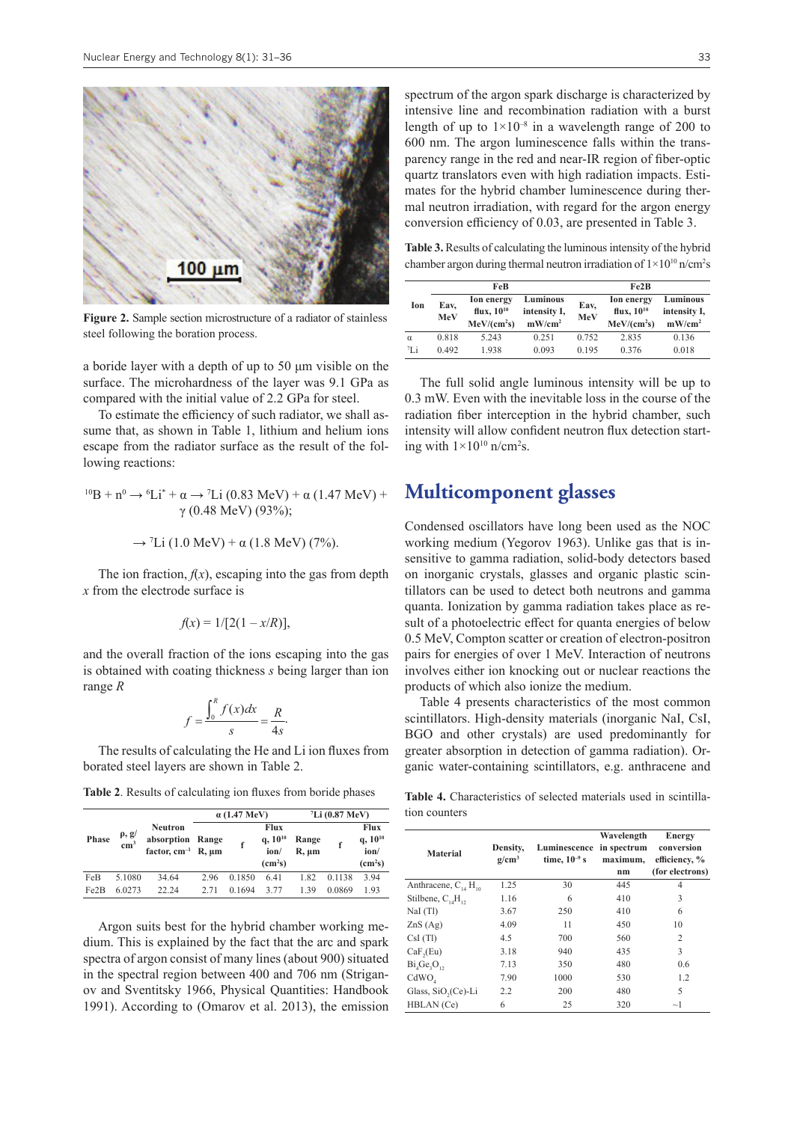

**Figure 2.** Sample section microstructure of a radiator of stainless steel following the boration process.

a boride layer with a depth of up to 50 μm visible on the surface. The microhardness of the layer was 9.1 GPa as compared with the initial value of 2.2 GPa for steel.

To estimate the efficiency of such radiator, we shall assume that, as shown in Table 1, lithium and helium ions escape from the radiator surface as the result of the following reactions:

$$
{}^{10}B + n^0 \rightarrow {}^6Li^* + \alpha \rightarrow {}^7Li (0.83 \text{ MeV}) + \alpha (1.47 \text{ MeV}) +
$$
  
 
$$
\gamma (0.48 \text{ MeV}) (93\%);
$$

$$
\rightarrow
$$
 <sup>7</sup>Li (1.0 MeV) +  $\alpha$  (1.8 MeV) (7%).

The ion fraction,  $f(x)$ , escaping into the gas from depth *x* from the electrode surface is

$$
f(x) = 1/[2(1 - x/R)],
$$

and the overall fraction of the ions escaping into the gas is obtained with coating thickness *s* being larger than ion range *R*

$$
f = \frac{\int_0^R f(x)dx}{s} = \frac{R}{4s}.
$$

The results of calculating the He and Li ion fluxes from borated steel layers are shown in Table 2.

**Table 2**. Results of calculating ion fluxes from boride phases

|       | $\rho$ , g/<br>cm <sup>3</sup> | <b>Neutron</b><br>absorption<br>factor, $cm^{-1}$ R, $\mu$ m | $\alpha$ (1.47 MeV) |        |                                                            | $^7Li$ (0.87 MeV)   |        |                                                            |
|-------|--------------------------------|--------------------------------------------------------------|---------------------|--------|------------------------------------------------------------|---------------------|--------|------------------------------------------------------------|
| Phase |                                |                                                              | Range               |        | <b>Flux</b><br>$q, 10^{10}$<br>ion/<br>(cm <sup>2</sup> s) | Range<br>$R, \mu m$ |        | <b>Flux</b><br>$q, 10^{10}$<br>ion/<br>(cm <sup>2</sup> s) |
| FeB   | 5.1080                         | 34.64                                                        | 2.96                | 0.1850 | 6.41                                                       | 1.82                | 0.1138 | 3.94                                                       |
| Fe2B  | 6.0273                         | 22.24                                                        | 2.71                | 0.1694 | 3.77                                                       | 1.39                | 0.0869 | 1.93                                                       |

Argon suits best for the hybrid chamber working medium. This is explained by the fact that the arc and spark spectra of argon consist of many lines (about 900) situated in the spectral region between 400 and 706 nm (Striganov and Sventitsky 1966, Physical Quantities: Handbook 1991). According to (Omarov et al. 2013), the emission spectrum of the argon spark discharge is characterized by intensive line and recombination radiation with a burst length of up to  $1\times10^{-8}$  in a wavelength range of 200 to 600 nm. The argon luminescence falls within the transparency range in the red and near-IR region of fiber-optic quartz translators even with high radiation impacts. Estimates for the hybrid chamber luminescence during thermal neutron irradiation, with regard for the argon energy conversion efficiency of 0.03, are presented in Table 3.

**Table 3.** Results of calculating the luminous intensity of the hybrid chamber argon during thermal neutron irradiation of  $1 \times 10^{10}$  n/cm<sup>2</sup>s

|             |             | FeB                                                             |                                       | Fe2B        |                                                          |                                       |  |
|-------------|-------------|-----------------------------------------------------------------|---------------------------------------|-------------|----------------------------------------------------------|---------------------------------------|--|
| Ion         | Eav,<br>MeV | <b>Ion energy</b><br>flux, $10^{10}$<br>MeV/(cm <sup>2</sup> s) | Luminous<br>intensity I,<br>$mW/cm^2$ | Eav,<br>MeV | Ion energy<br>flux, $10^{10}$<br>MeV/(cm <sup>2</sup> s) | Luminous<br>intensity I,<br>$mW/cm^2$ |  |
| $\alpha$    | 0.818       | 5 2 4 3                                                         | 0.251                                 | 0.752       | 2.835                                                    | 0.136                                 |  |
| $\tau_{Li}$ | 0.492       | 1.938                                                           | 0.093                                 | 0.195       | 0.376                                                    | 0.018                                 |  |

The full solid angle luminous intensity will be up to 0.3 mW. Even with the inevitable loss in the course of the radiation fiber interception in the hybrid chamber, such intensity will allow confident neutron flux detection starting with  $1 \times 10^{10}$  n/cm<sup>2</sup>s.

## **Multicomponent glasses**

Condensed oscillators have long been used as the NOC working medium (Yegorov 1963). Unlike gas that is insensitive to gamma radiation, solid-body detectors based on inorganic crystals, glasses and organic plastic scintillators can be used to detect both neutrons and gamma quanta. Ionization by gamma radiation takes place as result of a photoelectric effect for quanta energies of below 0.5 MeV, Compton scatter or creation of electron-positron pairs for energies of over 1 MeV. Interaction of neutrons involves either ion knocking out or nuclear reactions the products of which also ionize the medium.

Table 4 presents characteristics of the most common scintillators. High-density materials (inorganic NaI, CsI, BGO and other crystals) are used predominantly for greater absorption in detection of gamma radiation). Organic water-containing scintillators, e.g. anthracene and

**Table 4.** Characteristics of selected materials used in scintillation counters

| <b>Material</b>                      | Density,<br>$g/cm^3$ | Luminescence<br>time, $10^{-9}$ s | Wavelength<br>in spectrum<br>maximum,<br>nm | Energy<br>conversion<br>efficiency, %<br>(for electrons) |  |
|--------------------------------------|----------------------|-----------------------------------|---------------------------------------------|----------------------------------------------------------|--|
| Anthracene, $C_{14}$ H <sub>10</sub> | 1.25                 | 30                                | 445                                         | $\overline{4}$                                           |  |
| Stilbene, $C_{1}H_{12}$              | 1.16                 | 6                                 | 410                                         | 3                                                        |  |
| NaI (Tl)                             | 3.67                 | 250                               | 410                                         | 6                                                        |  |
| ZnS(Ag)                              | 4.09                 | 11                                | 450                                         | 10                                                       |  |
| CsI(Tl)                              | 4.5                  | 700                               | 560                                         | $\overline{c}$                                           |  |
| CaF <sub>2</sub> (Eu)                | 3.18                 | 940                               | 435                                         | 3                                                        |  |
| $Bi4Ge3O12$                          | 7.13                 | 350                               | 480                                         | 0.6                                                      |  |
| CdWO <sub>A</sub>                    | 7.90                 | 1000                              | 530                                         | 1.2                                                      |  |
| Glass, SiO <sub>2</sub> (Ce)-Li      | 2.2                  | 200                               | 480                                         | 5                                                        |  |
| HBLAN (Ce)                           | 6                    | 25                                | 320                                         | $\sim$ 1                                                 |  |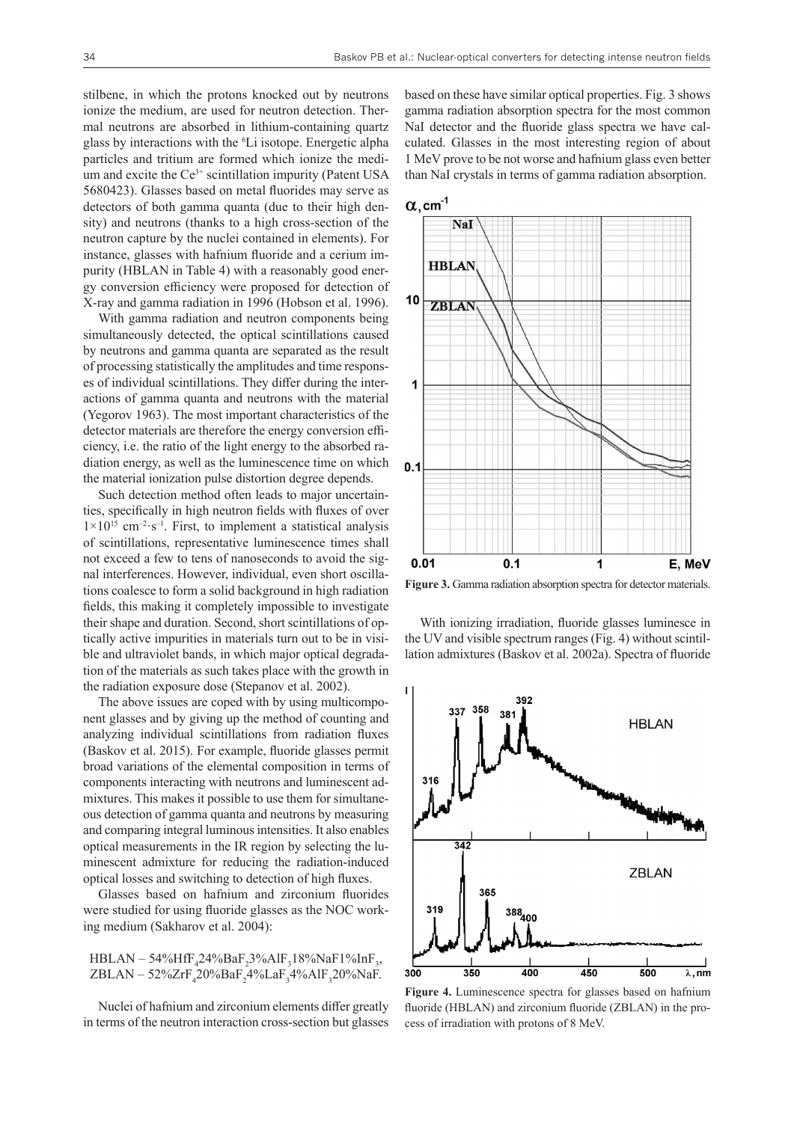stilbene, in which the protons knocked out by neutrons ionize the medium, are used for neutron detection. Thermal neutrons are absorbed in lithium-containing quartz glass by interactions with the <sup>6</sup> Li isotope. Energetic alpha particles and tritium are formed which ionize the medium and excite the Ce<sup>3+</sup> scintillation impurity (Patent USA 5680423). Glasses based on metal fluorides may serve as detectors of both gamma quanta (due to their high density) and neutrons (thanks to a high cross-section of the neutron capture by the nuclei contained in elements). For instance, glasses with hafnium fluoride and a cerium impurity (HBLAN in Table 4) with a reasonably good energy conversion efficiency were proposed for detection of X-ray and gamma radiation in 1996 (Hobson et al. 1996).

With gamma radiation and neutron components being simultaneously detected, the optical scintillations caused by neutrons and gamma quanta are separated as the result of processing statistically the amplitudes and time responses of individual scintillations. They differ during the interactions of gamma quanta and neutrons with the material (Yegorov 1963). The most important characteristics of the detector materials are therefore the energy conversion efficiency, i.e. the ratio of the light energy to the absorbed radiation energy, as well as the luminescence time on which the material ionization pulse distortion degree depends.

Such detection method often leads to major uncertainties, specifically in high neutron fields with fluxes of over  $1\times10^{15}$  cm<sup>-2</sup>·s<sup>-1</sup>. First, to implement a statistical analysis of scintillations, representative luminescence times shall not exceed a few to tens of nanoseconds to avoid the signal interferences. However, individual, even short oscillations coalesce to form a solid background in high radiation fields, this making it completely impossible to investigate their shape and duration. Second, short scintillations of optically active impurities in materials turn out to be in visible and ultraviolet bands, in which major optical degradation of the materials as such takes place with the growth in the radiation exposure dose (Stepanov et al. 2002).

The above issues are coped with by using multicomponent glasses and by giving up the method of counting and analyzing individual scintillations from radiation fluxes (Baskov et al. 2015). For example, fluoride glasses permit broad variations of the elemental composition in terms of components interacting with neutrons and luminescent admixtures. This makes it possible to use them for simultaneous detection of gamma quanta and neutrons by measuring and comparing integral luminous intensities. It also enables optical measurements in the IR region by selecting the luminescent admixture for reducing the radiation-induced optical losses and switching to detection of high fluxes.

Glasses based on hafnium and zirconium fluorides were studied for using fluoride glasses as the NOC working medium (Sakharov et al. 2004):

$$
HBLAN - 54\% HfF_{4}24\% BaF_{2}3\% AlF_{3}18\% NaF1\% InF_{3}, ZBLAN - 52\% ZrF_{4}20\% BaF_{2}4\% LaF_{3}4\% AlF_{3}20\% NaF.
$$

Nuclei of hafnium and zirconium elements differ greatly in terms of the neutron interaction cross-section but glasses

based on these have similar optical properties. Fig. 3 shows gamma radiation absorption spectra for the most common NaI detector and the fluoride glass spectra we have calculated. Glasses in the most interesting region of about 1 MeV prove to be not worse and hafnium glass even better than NaI crystals in terms of gamma radiation absorption.



**Figure 3.** Gamma radiation absorption spectra for detector materials.

With ionizing irradiation, fluoride glasses luminesce in the UV and visible spectrum ranges (Fig. 4) without scintillation admixtures (Baskov et al. 2002a). Spectra of fluoride



**Figure 4.** Luminescence spectra for glasses based on hafnium fluoride (HBLAN) and zirconium fluoride (ZBLAN) in the process of irradiation with protons of 8 MeV.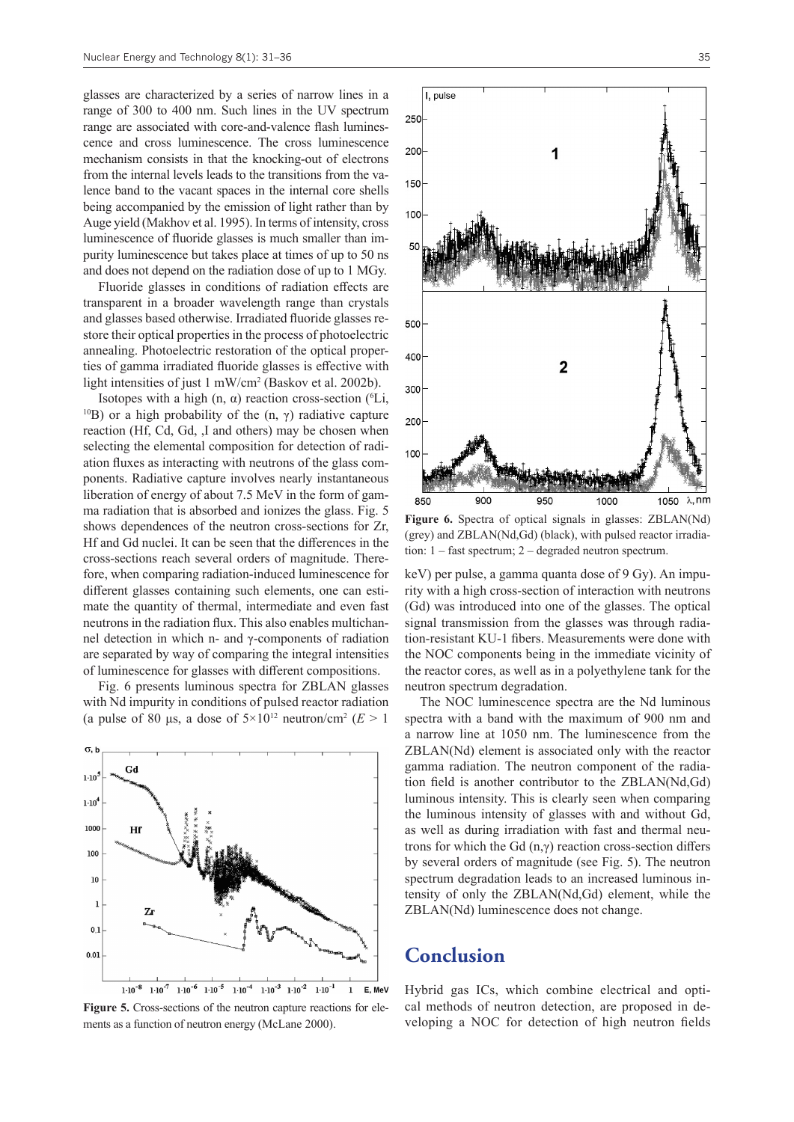glasses are characterized by a series of narrow lines in a range of 300 to 400 nm. Such lines in the UV spectrum range are associated with core-and-valence flash luminescence and cross luminescence. The cross luminescence mechanism consists in that the knocking-out of electrons from the internal levels leads to the transitions from the valence band to the vacant spaces in the internal core shells being accompanied by the emission of light rather than by Auge yield (Makhov et al. 1995). In terms of intensity, cross luminescence of fluoride glasses is much smaller than impurity luminescence but takes place at times of up to 50 ns and does not depend on the radiation dose of up to 1 MGy.

Fluoride glasses in conditions of radiation effects are transparent in a broader wavelength range than crystals and glasses based otherwise. Irradiated fluoride glasses restore their optical properties in the process of photoelectric annealing. Photoelectric restoration of the optical properties of gamma irradiated fluoride glasses is effective with light intensities of just 1 mW/cm2 (Baskov et al. 2002b).

Isotopes with a high  $(n, \alpha)$  reaction cross-section  $(^{6}Li, )$ <sup>10</sup>B) or a high probability of the (n,  $\gamma$ ) radiative capture reaction (Hf, Cd, Gd, ,I and others) may be chosen when selecting the elemental composition for detection of radiation fluxes as interacting with neutrons of the glass components. Radiative capture involves nearly instantaneous liberation of energy of about 7.5 MeV in the form of gamma radiation that is absorbed and ionizes the glass. Fig. 5 shows dependences of the neutron cross-sections for Zr, Hf and Gd nuclei. It can be seen that the differences in the cross-sections reach several orders of magnitude. Therefore, when comparing radiation-induced luminescence for different glasses containing such elements, one can estimate the quantity of thermal, intermediate and even fast neutrons in the radiation flux. This also enables multichannel detection in which n- and γ-components of radiation are separated by way of comparing the integral intensities of luminescence for glasses with different compositions.

Fig. 6 presents luminous spectra for ZBLAN glasses with Nd impurity in conditions of pulsed reactor radiation (a pulse of 80 µs, a dose of  $5 \times 10^{12}$  neutron/cm<sup>2</sup> ( $E > 1$ )



**Figure 5.** Cross-sections of the neutron capture reactions for elements as a function of neutron energy (McLane 2000).



250

200

150

100

500

400

300

200

 $10<sub>C</sub>$ 

900 950 1000 1050  $\lambda$ , nm **Figure 6.** Spectra of optical signals in glasses: ZBLAN(Nd) (grey) and ZBLAN(Nd,Gd) (black), with pulsed reactor irradia-

tion: 1 – fast spectrum; 2 – degraded neutron spectrum.

keV) per pulse, a gamma quanta dose of 9 Gy). An impurity with a high cross-section of interaction with neutrons (Gd) was introduced into one of the glasses. The optical signal transmission from the glasses was through radiation-resistant KU-1 fibers. Measurements were done with the NOC components being in the immediate vicinity of the reactor cores, as well as in a polyethylene tank for the neutron spectrum degradation.

The NOC luminescence spectra are the Nd luminous spectra with a band with the maximum of 900 nm and a narrow line at 1050 nm. The luminescence from the ZBLAN(Nd) element is associated only with the reactor gamma radiation. The neutron component of the radiation field is another contributor to the ZBLAN(Nd,Gd) luminous intensity. This is clearly seen when comparing the luminous intensity of glasses with and without Gd, as well as during irradiation with fast and thermal neutrons for which the Gd  $(n, \gamma)$  reaction cross-section differs by several orders of magnitude (see Fig. 5). The neutron spectrum degradation leads to an increased luminous intensity of only the ZBLAN(Nd,Gd) element, while the ZBLAN(Nd) luminescence does not change.

#### **Conclusion**

Hybrid gas ICs, which combine electrical and optical methods of neutron detection, are proposed in developing a NOC for detection of high neutron fields